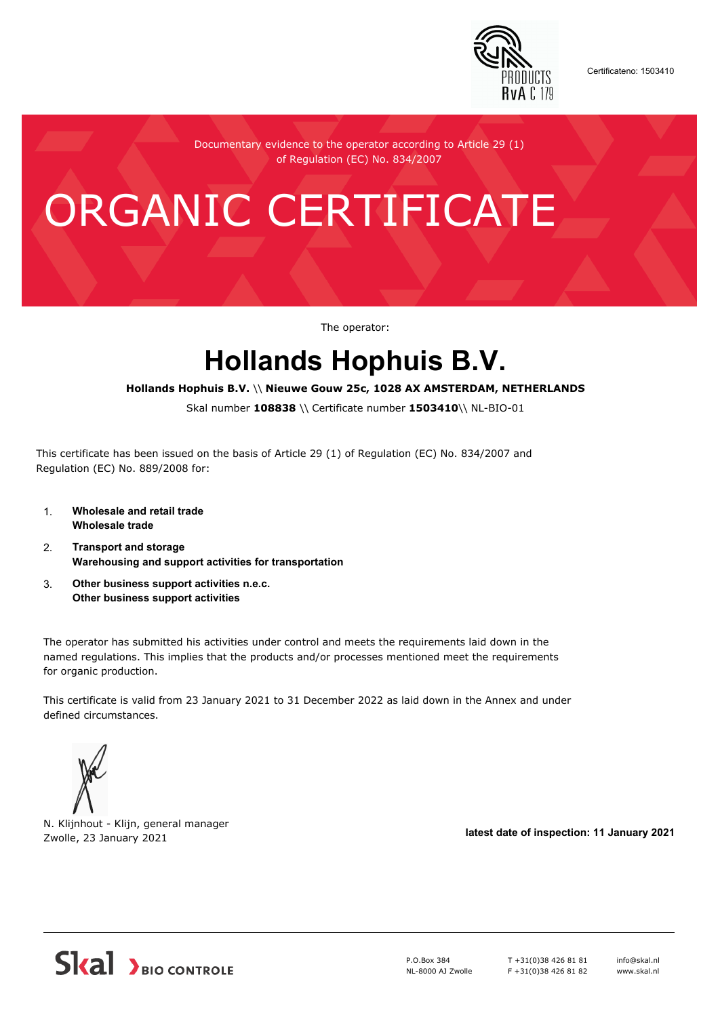

Certificateno: 1503410

Documentary evidence to the operator according to Article 29 (1) of Regulation (EC) No. 834/2007

# ORGANIC CERTIFICATE

The operator:

## **Hollands Hophuis B.V.**

#### **Hollands Hophuis B.V.** \\ **Nieuwe Gouw 25c, 1028 AX AMSTERDAM, NETHERLANDS**

Skal number **108838** \\ Certificate number **1503410**\\ NL-BIO-01

This certificate has been issued on the basis of Article 29 (1) of Regulation (EC) No. 834/2007 and Regulation (EC) No. 889/2008 for:

- 1. **Wholesale and retail trade Wholesale trade**
- 2. **Transport and storage Warehousing and support activities for transportation**
- 3. **Other business support activities n.e.c. Other business support activities**

The operator has submitted his activities under control and meets the requirements laid down in the named regulations. This implies that the products and/or processes mentioned meet the requirements for organic production.

This certificate is valid from 23 January 2021 to 31 December 2022 as laid down in the Annex and under defined circumstances.



N. Klijnhout - Klijn, general manager Zwolle, 23 January 2021 **latest date of inspection: 11 January 2021**



P.O.Box 384 NL-8000 AJ Zwolle T +31(0)38 426 81 81 F +31(0)38 426 81 82